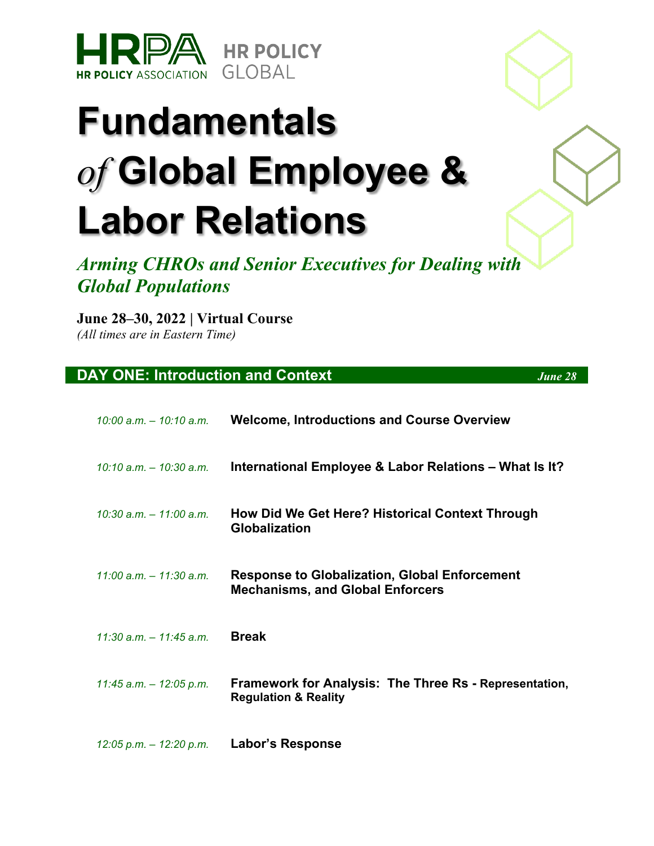

# **Fundamentals**  *of* **Global Employee & Labor Relations**

*Arming CHROs and Senior Executives for Dealing with Global Populations* 

#### **June 28–30, 2022 | Virtual Course**

*(All times are in Eastern Time)*

#### **DAY ONE: Introduction and Context** *June 28*

| 10:00 a.m. – 10:10 a.m.    | <b>Welcome, Introductions and Course Overview</b>                                                |
|----------------------------|--------------------------------------------------------------------------------------------------|
| $10:10$ a.m. $-10:30$ a.m. | International Employee & Labor Relations – What Is It?                                           |
| $10:30$ a.m. $-11:00$ a.m. | How Did We Get Here? Historical Context Through<br><b>Globalization</b>                          |
| $11:00$ a.m. $-11:30$ a.m. | <b>Response to Globalization, Global Enforcement</b><br><b>Mechanisms, and Global Enforcers</b>  |
| $11:30$ a.m. $-11:45$ a.m. | <b>Break</b>                                                                                     |
| $11:45$ a.m. $-12:05$ p.m. | <b>Framework for Analysis: The Three Rs - Representation,</b><br><b>Regulation &amp; Reality</b> |
|                            |                                                                                                  |

*12:05 p.m. – 12:20 p.m.* **Labor's Response**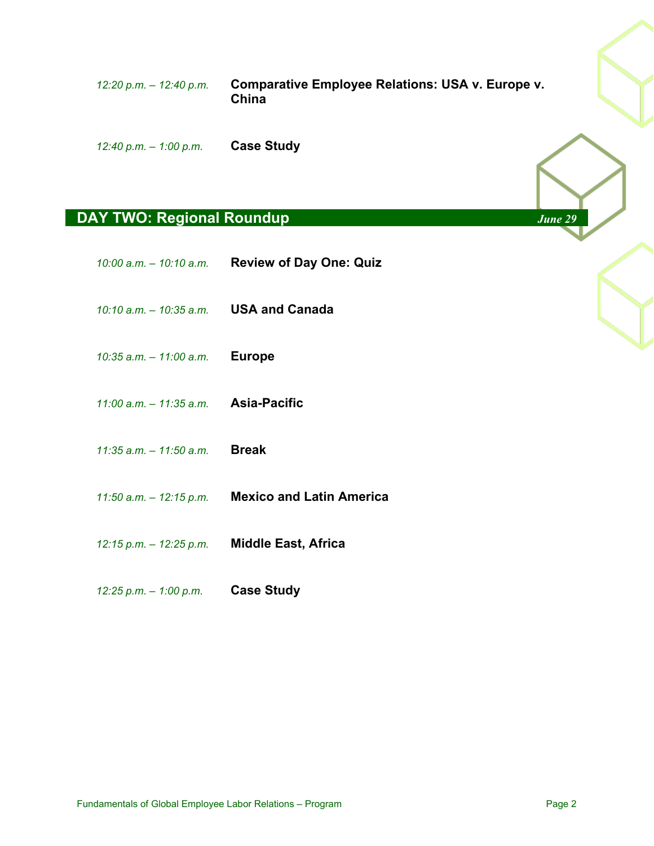*12:20 p.m. – 12:40 p.m.* **Comparative Employee Relations: USA v. Europe v. China**

*12:40 p.m. – 1:00 p.m.* **Case Study**

### **DAY TWO: Regional Roundup** *June 29*

|                                        | 10:00 a.m. - 10:10 a.m. Review of Day One: Quiz  |
|----------------------------------------|--------------------------------------------------|
| 10:10 a.m. - 10:35 a.m. USA and Canada |                                                  |
| 10:35 a.m. $-$ 11:00 a.m. Europe       |                                                  |
| 11:00 a.m. $-$ 11:35 a.m. Asia-Pacific |                                                  |
| 11:35 a.m. $-$ 11:50 a.m. Break        |                                                  |
|                                        | 11:50 a.m. - 12:15 p.m. Mexico and Latin America |
| 12:15 p.m. – 12:25 p.m.                | <b>Middle East, Africa</b>                       |

*12:25 p.m. – 1:00 p.m.* **Case Study**